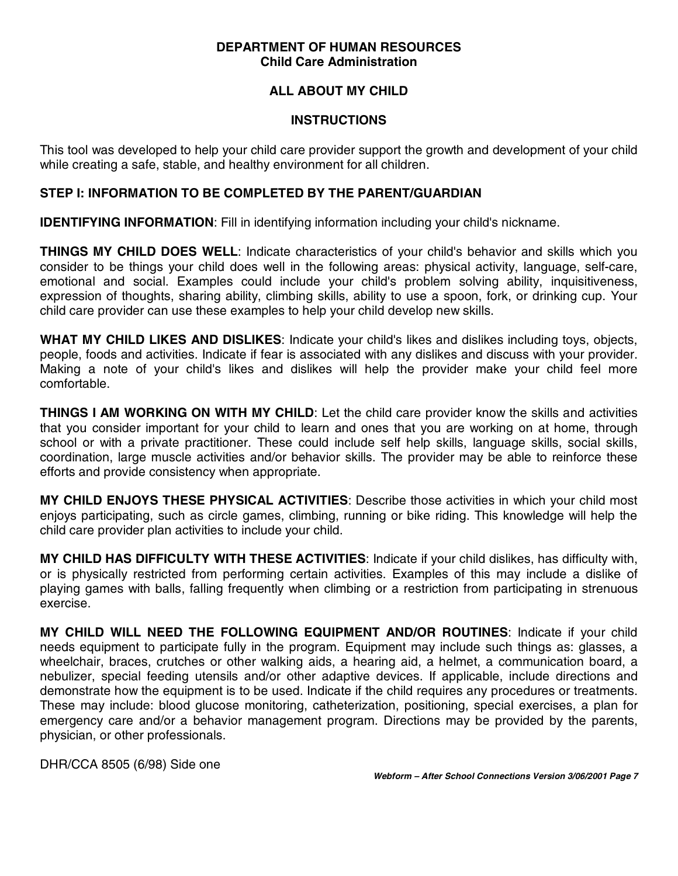### **DEPARTMENT OF HUMAN RESOURCES Child Care Administration**

# **ALL ABOUT MY CHILD**

#### **INSTRUCTIONS**

This tool was developed to help your child care provider support the growth and development of your child while creating a safe, stable, and healthy environment for all children.

## **STEP I: INFORMATION TO BE COMPLETED BY THE PARENT/GUARDIAN**

**IDENTIFYING INFORMATION:** Fill in identifying information including your child's nickname.

**THINGS MY CHILD DOES WELL**: Indicate characteristics of your child's behavior and skills which you consider to be things your child does well in the following areas: physical activity, language, self-care, emotional and social. Examples could include your child's problem solving ability, inquisitiveness, expression of thoughts, sharing ability, climbing skills, ability to use a spoon, fork, or drinking cup. Your child care provider can use these examples to help your child develop new skills.

**WHAT MY CHILD LIKES AND DISLIKES**: Indicate your child's likes and dislikes including toys, objects, people, foods and activities. Indicate if fear is associated with any dislikes and discuss with your provider. Making a note of your child's likes and dislikes will help the provider make your child feel more comfortable.

**THINGS I AM WORKING ON WITH MY CHILD**: Let the child care provider know the skills and activities that you consider important for your child to learn and ones that you are working on at home, through school or with a private practitioner. These could include self help skills, language skills, social skills, coordination, large muscle activities and/or behavior skills. The provider may be able to reinforce these efforts and provide consistency when appropriate.

**MY CHILD ENJOYS THESE PHYSICAL ACTIVITIES**: Describe those activities in which your child most enjoys participating, such as circle games, climbing, running or bike riding. This knowledge will help the child care provider plan activities to include your child.

**MY CHILD HAS DIFFICULTY WITH THESE ACTIVITIES**: Indicate if your child dislikes, has difficulty with, or is physically restricted from performing certain activities. Examples of this may include a dislike of playing games with balls, falling frequently when climbing or a restriction from participating in strenuous exercise.

**MY CHILD WILL NEED THE FOLLOWING EQUIPMENT AND/OR ROUTINES**: Indicate if your child needs equipment to participate fully in the program. Equipment may include such things as: glasses, a wheelchair, braces, crutches or other walking aids, a hearing aid, a helmet, a communication board, a nebulizer, special feeding utensils and/or other adaptive devices. If applicable, include directions and demonstrate how the equipment is to be used. Indicate if the child requires any procedures or treatments. These may include: blood glucose monitoring, catheterization, positioning, special exercises, a plan for emergency care and/or a behavior management program. Directions may be provided by the parents, physician, or other professionals.

DHR/CCA 8505 (6/98) Side one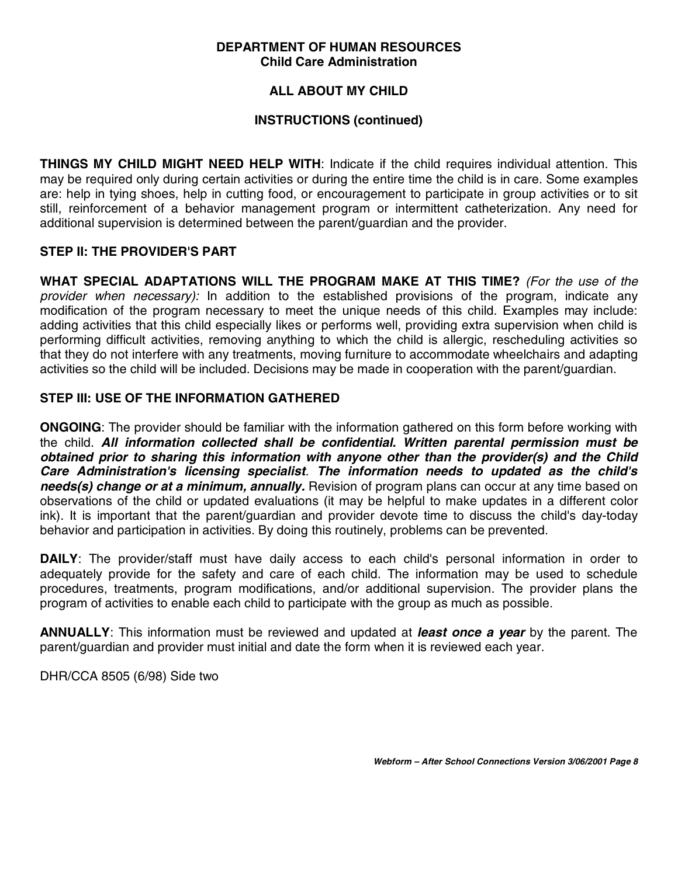#### **DEPARTMENT OF HUMAN RESOURCES Child Care Administration**

# **ALL ABOUT MY CHILD**

## **INSTRUCTIONS (continued)**

**THINGS MY CHILD MIGHT NEED HELP WITH**: Indicate if the child requires individual attention. This may be required only during certain activities or during the entire time the child is in care. Some examples are: help in tying shoes, help in cutting food, or encouragement to participate in group activities or to sit still, reinforcement of a behavior management program or intermittent catheterization. Any need for additional supervision is determined between the parent/guardian and the provider.

### **STEP II: THE PROVIDER'S PART**

**WHAT SPECIAL ADAPTATIONS WILL THE PROGRAM MAKE AT THIS TIME?** (For the use of the provider when necessary): In addition to the established provisions of the program, indicate any modification of the program necessary to meet the unique needs of this child. Examples may include: adding activities that this child especially likes or performs well, providing extra supervision when child is performing difficult activities, removing anything to which the child is allergic, rescheduling activities so that they do not interfere with any treatments, moving furniture to accommodate wheelchairs and adapting activities so the child will be included. Decisions may be made in cooperation with the parent/guardian.

### **STEP III: USE OF THE INFORMATION GATHERED**

**ONGOING**: The provider should be familiar with the information gathered on this form before working with the child. **All information collected shall be confidential. Written parental permission must be obtained prior to sharing this information with anyone other than the provider(s) and the Child Care Administration's licensing specialist**. **The information needs to updated as the child's needs(s) change or at a minimum, annually.** Revision of program plans can occur at any time based on observations of the child or updated evaluations (it may be helpful to make updates in a different color ink). It is important that the parent/guardian and provider devote time to discuss the child's day-today behavior and participation in activities. By doing this routinely, problems can be prevented.

**DAILY**: The provider/staff must have daily access to each child's personal information in order to adequately provide for the safety and care of each child. The information may be used to schedule procedures, treatments, program modifications, and/or additional supervision. The provider plans the program of activities to enable each child to participate with the group as much as possible.

**ANNUALLY**: This information must be reviewed and updated at **least once a year** by the parent. The parent/guardian and provider must initial and date the form when it is reviewed each year.

DHR/CCA 8505 (6/98) Side two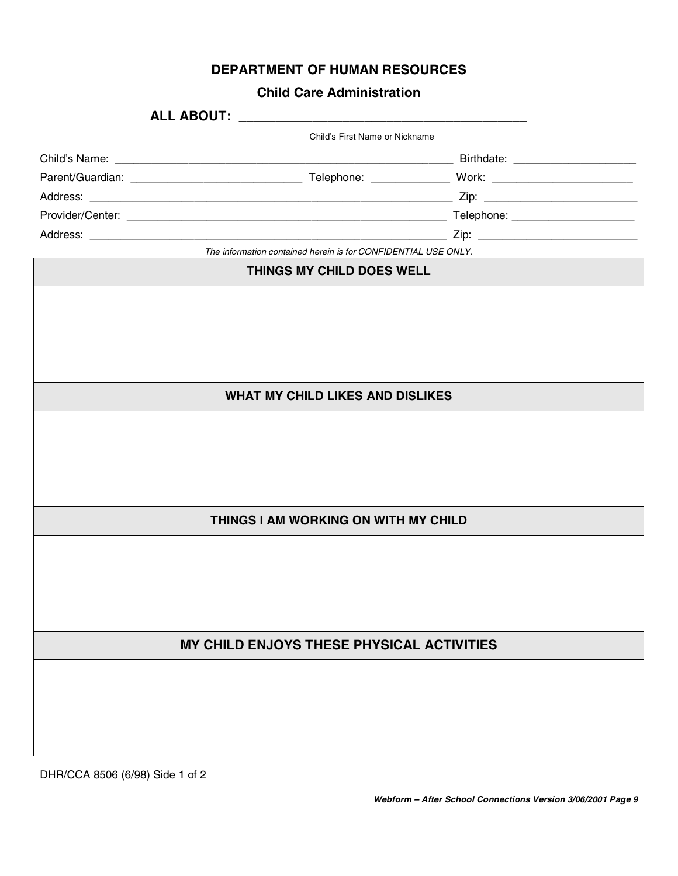|  |  |  | <b>DEPARTMENT OF HUMAN RESOURCES</b> |
|--|--|--|--------------------------------------|
|--|--|--|--------------------------------------|

# **Child Care Administration**

|                                      |                                                                | Child's First Name or Nickname            |  |  |  |  |  |
|--------------------------------------|----------------------------------------------------------------|-------------------------------------------|--|--|--|--|--|
|                                      |                                                                |                                           |  |  |  |  |  |
|                                      |                                                                |                                           |  |  |  |  |  |
|                                      |                                                                |                                           |  |  |  |  |  |
|                                      |                                                                |                                           |  |  |  |  |  |
|                                      |                                                                |                                           |  |  |  |  |  |
|                                      | The information contained herein is for CONFIDENTIAL USE ONLY. |                                           |  |  |  |  |  |
| THINGS MY CHILD DOES WELL            |                                                                |                                           |  |  |  |  |  |
|                                      |                                                                |                                           |  |  |  |  |  |
|                                      |                                                                |                                           |  |  |  |  |  |
|                                      |                                                                | <b>WHAT MY CHILD LIKES AND DISLIKES</b>   |  |  |  |  |  |
|                                      |                                                                |                                           |  |  |  |  |  |
| THINGS I AM WORKING ON WITH MY CHILD |                                                                |                                           |  |  |  |  |  |
|                                      |                                                                |                                           |  |  |  |  |  |
|                                      |                                                                | MY CHILD ENJOYS THESE PHYSICAL ACTIVITIES |  |  |  |  |  |
|                                      |                                                                |                                           |  |  |  |  |  |